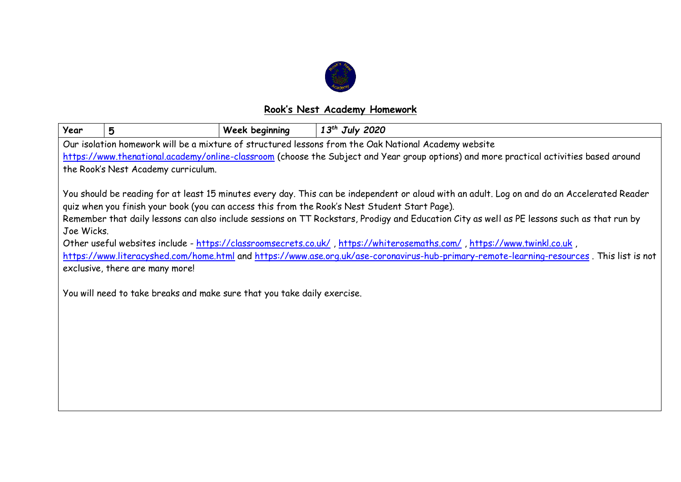

## **Rook's Nest Academy Homework**

| Year                                                                                                                                                                                                                                                                                                                                                                                                                                                                                                                                                                                                                                                                                                                                                                                              | 5 | <b>Week beginning</b> | $13^{th}$ July 2020 |  |  |  |
|---------------------------------------------------------------------------------------------------------------------------------------------------------------------------------------------------------------------------------------------------------------------------------------------------------------------------------------------------------------------------------------------------------------------------------------------------------------------------------------------------------------------------------------------------------------------------------------------------------------------------------------------------------------------------------------------------------------------------------------------------------------------------------------------------|---|-----------------------|---------------------|--|--|--|
| Our isolation homework will be a mixture of structured lessons from the Oak National Academy website                                                                                                                                                                                                                                                                                                                                                                                                                                                                                                                                                                                                                                                                                              |   |                       |                     |  |  |  |
| https://www.thenational.academy/online-classroom (choose the Subject and Year group options) and more practical activities based around                                                                                                                                                                                                                                                                                                                                                                                                                                                                                                                                                                                                                                                           |   |                       |                     |  |  |  |
| the Rook's Nest Academy curriculum.                                                                                                                                                                                                                                                                                                                                                                                                                                                                                                                                                                                                                                                                                                                                                               |   |                       |                     |  |  |  |
| You should be reading for at least 15 minutes every day. This can be independent or aloud with an adult. Log on and do an Accelerated Reader<br>quiz when you finish your book (you can access this from the Rook's Nest Student Start Page).<br>Remember that daily lessons can also include sessions on TT Rockstars, Prodigy and Education City as well as PE lessons such as that run by<br>Joe Wicks.<br>Other useful websites include - https://classroomsecrets.co.uk/, https://whiterosemaths.com/, https://www.twinkl.co.uk,<br>https://www.literacyshed.com/home.html and https://www.ase.org.uk/ase-coronavirus-hub-primary-remote-learning-resources. This list is not<br>exclusive, there are many more!<br>You will need to take breaks and make sure that you take daily exercise. |   |                       |                     |  |  |  |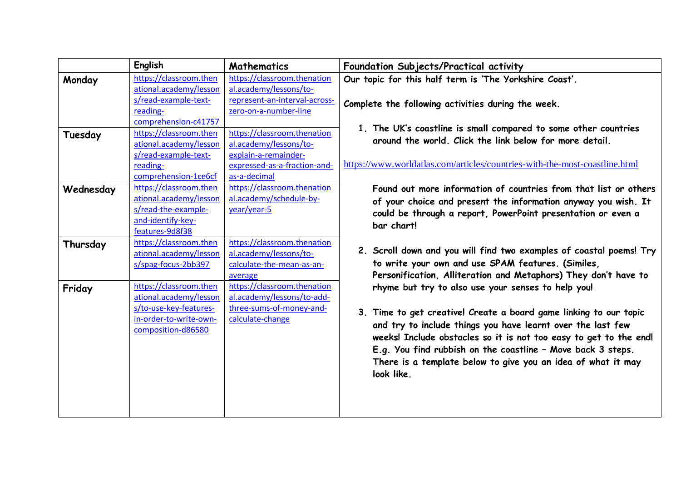|           | English                | <b>Mathematics</b>            | Foundation Subjects/Practical activity                                                                                           |
|-----------|------------------------|-------------------------------|----------------------------------------------------------------------------------------------------------------------------------|
| Monday    | https://classroom.then | https://classroom.thenation   | Our topic for this half term is 'The Yorkshire Coast'.                                                                           |
|           | ational.academy/lesson | al.academy/lessons/to-        |                                                                                                                                  |
|           | s/read-example-text-   | represent-an-interval-across- | Complete the following activities during the week.                                                                               |
|           | reading-               | zero-on-a-number-line         |                                                                                                                                  |
|           | comprehension-c41757   |                               | 1. The UK's coastline is small compared to some other countries                                                                  |
| Tuesday   | https://classroom.then | https://classroom.thenation   | around the world. Click the link below for more detail.                                                                          |
|           | ational.academy/lesson | al.academy/lessons/to-        |                                                                                                                                  |
|           | s/read-example-text-   | explain-a-remainder-          |                                                                                                                                  |
|           | reading-               | expressed-as-a-fraction-and-  | https://www.worldatlas.com/articles/countries-with-the-most-coastline.html                                                       |
|           | comprehension-1ce6cf   | as-a-decimal                  |                                                                                                                                  |
| Wednesday | https://classroom.then | https://classroom.thenation   | Found out more information of countries from that list or others                                                                 |
|           | ational.academy/lesson | al.academy/schedule-by-       | of your choice and present the information anyway you wish. It                                                                   |
|           | s/read-the-example-    | year/year-5                   | could be through a report, PowerPoint presentation or even a                                                                     |
|           | and-identify-key-      |                               | bar chart!                                                                                                                       |
|           | features-9d8f38        |                               |                                                                                                                                  |
| Thursday  | https://classroom.then | https://classroom.thenation   | 2. Scroll down and you will find two examples of coastal poems! Try                                                              |
|           | ational.academy/lesson | al.academy/lessons/to-        |                                                                                                                                  |
|           | s/spag-focus-2bb397    | calculate-the-mean-as-an-     | to write your own and use SPAM features. (Similes,                                                                               |
|           |                        | average                       | Personification, Alliteration and Metaphors) They don't have to                                                                  |
| Friday    | https://classroom.then | https://classroom.thenation   | rhyme but try to also use your senses to help you!                                                                               |
|           | ational.academy/lesson | al.academy/lessons/to-add-    |                                                                                                                                  |
|           | s/to-use-key-features- | three-sums-of-money-and-      | 3. Time to get creative! Create a board game linking to our topic<br>and try to include things you have learnt over the last few |
|           | in-order-to-write-own- | calculate-change              |                                                                                                                                  |
|           | composition-d86580     |                               | weeks! Include obstacles so it is not too easy to get to the end!                                                                |
|           |                        |                               |                                                                                                                                  |
|           |                        |                               | E.g. You find rubbish on the coastline - Move back 3 steps.                                                                      |
|           |                        |                               | There is a template below to give you an idea of what it may                                                                     |
|           |                        |                               | look like.                                                                                                                       |
|           |                        |                               |                                                                                                                                  |
|           |                        |                               |                                                                                                                                  |
|           |                        |                               |                                                                                                                                  |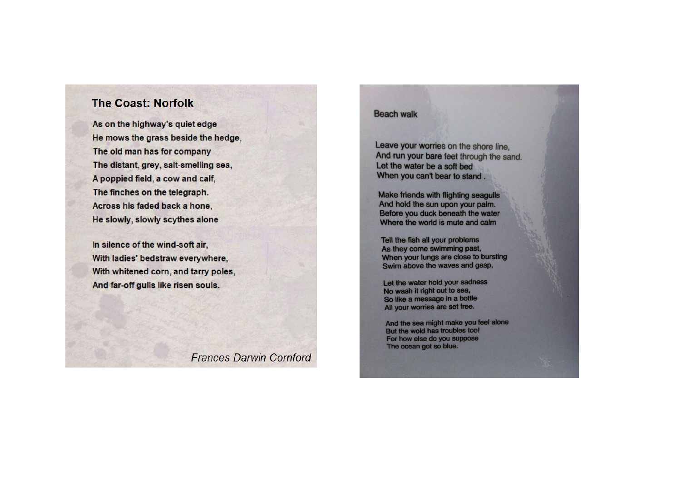## **The Coast: Norfolk**

As on the highway's quiet edge He mows the grass beside the hedge, The old man has for company The distant, grey, salt-smelling sea, A poppied field, a cow and calf, The finches on the telegraph. Across his faded back a hone, He slowly, slowly scythes alone

In silence of the wind-soft air, With ladies' bedstraw everywhere, With whitened corn, and tarry poles, And far-off gulls like risen souls.

**Frances Darwin Cornford** 

## **Beach walk**

Leave your worries on the shore line, And run your bare feet through the sand. Let the water be a soft bed When you can't bear to stand.

Make friends with flighting seagulls And hold the sun upon your palm. Before you duck beneath the water Where the world is mute and calm

Tell the fish all your problems As they come swimming past, When your lungs are close to bursting Swim above the waves and gasp,

Let the water hold your sadness No wash it right out to sea, So like a message in a bottle All your worries are set free.

And the sea might make you feel alone But the wold has troubles too! For how else do you suppose The ocean got so blue.